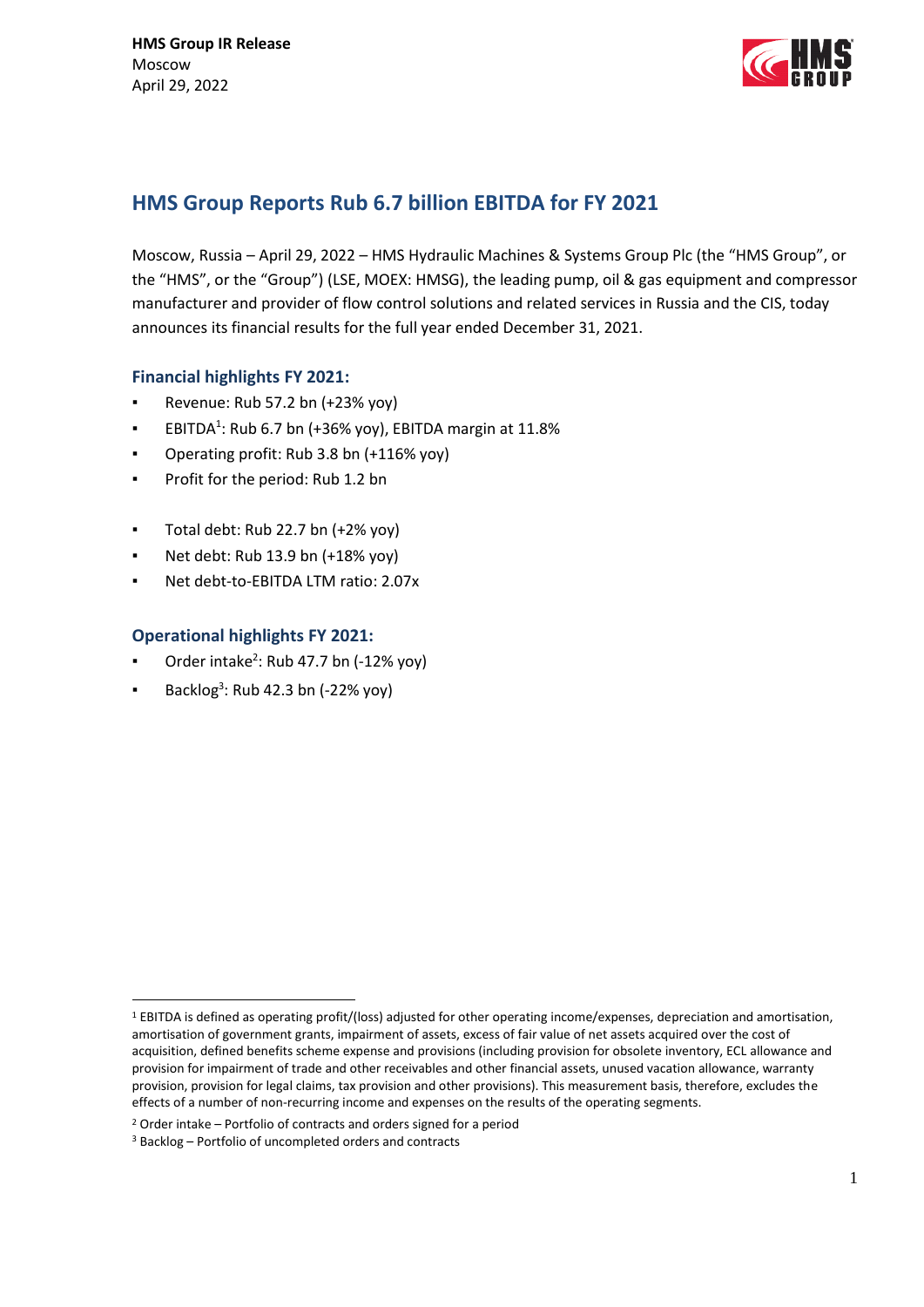

# **HMS Group Reports Rub 6.7 billion EBITDA for FY 2021**

Moscow, Russia – April 29, 2022 – HMS Hydraulic Machines & Systems Group Plc (the "HMS Group", or the "HMS", or the "Group") (LSE, MOEX: HMSG), the leading pump, oil & gas equipment and compressor manufacturer and provider of flow control solutions and related services in Russia and the CIS, today announces its financial results for the full year ended December 31, 2021.

# **Financial highlights FY 2021:**

- Revenue: Rub 57.2 bn (+23% yoy)
- **EBITDA**<sup>1</sup>: Rub 6.7 bn (+36% yoy), EBITDA margin at 11.8%
- Operating profit: Rub 3.8 bn (+116% yoy)
- Profit for the period: Rub 1.2 bn
- Total debt: Rub 22.7 bn  $(+2\%$  yoy)
- Net debt: Rub 13.9 bn (+18% yoy)
- Net debt-to-EBITDA LTM ratio: 2.07x

# **Operational highlights FY 2021:**

- **•** Order intake<sup>2</sup>: Rub 47.7 bn (-12% yoy)
- **Backlog**<sup>3</sup>: Rub 42.3 bn (-22% yoy)

1

<sup>1</sup> EBITDA is defined as operating profit/(loss) adjusted for other operating income/expenses, depreciation and amortisation, amortisation of government grants, impairment of assets, excess of fair value of net assets acquired over the cost of acquisition, defined benefits scheme expense and provisions (including provision for obsolete inventory, ECL allowance and provision for impairment of trade and other receivables and other financial assets, unused vacation allowance, warranty provision, provision for legal claims, tax provision and other provisions). This measurement basis, therefore, excludes the effects of a number of non-recurring income and expenses on the results of the operating segments.

<sup>2</sup> Order intake – Portfolio of contracts and orders signed for a period

<sup>3</sup> Backlog – Portfolio of uncompleted orders and contracts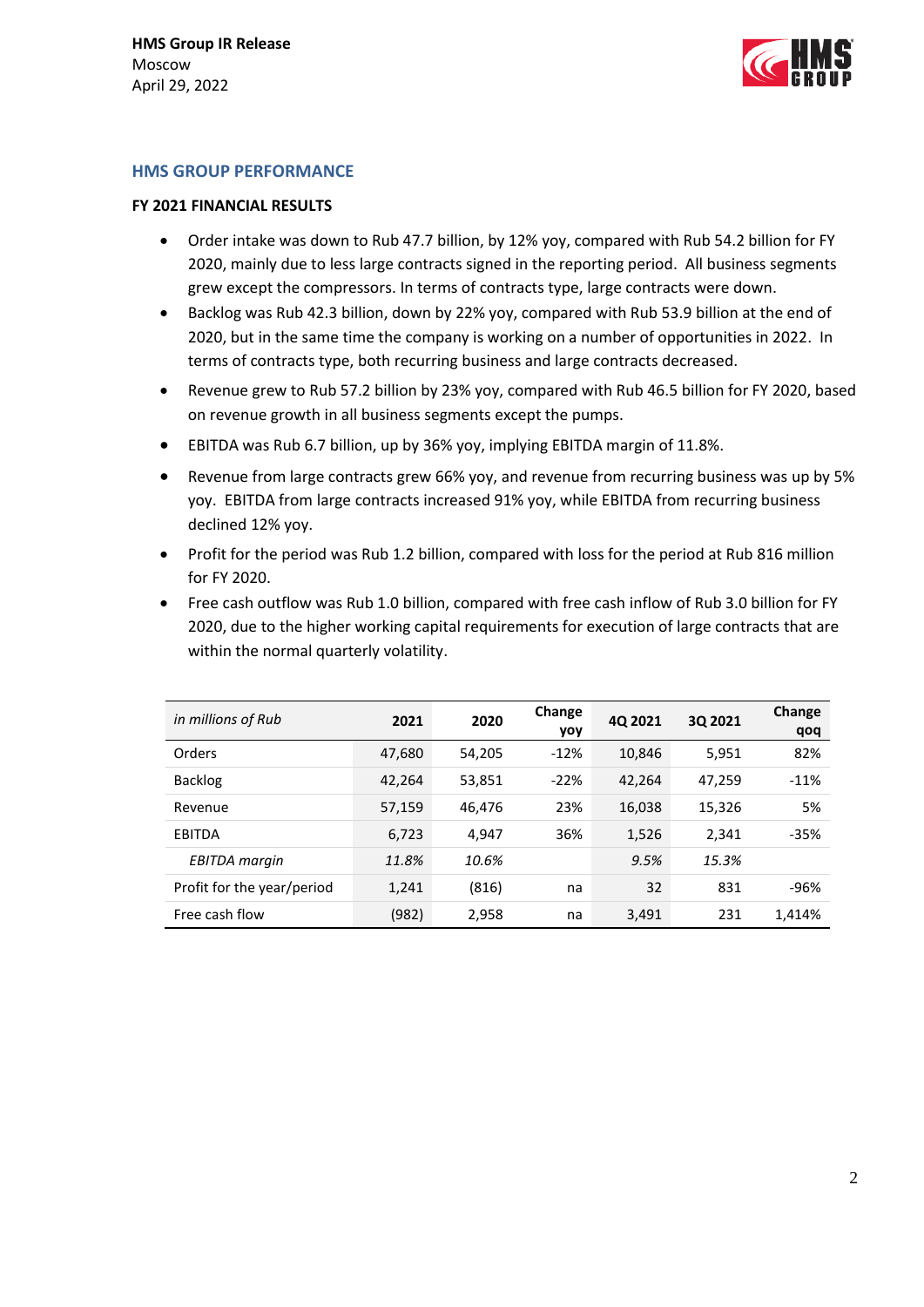

#### **HMS GROUP PERFORMANCE**

#### **FY 2021 FINANCIAL RESULTS**

- Order intake was down to Rub 47.7 billion, by 12% yoy, compared with Rub 54.2 billion for FY 2020, mainly due to less large contracts signed in the reporting period. All business segments grew except the compressors. In terms of contracts type, large contracts were down.
- Backlog was Rub 42.3 billion, down by 22% yoy, compared with Rub 53.9 billion at the end of 2020, but in the same time the company is working on a number of opportunities in 2022. In terms of contracts type, both recurring business and large contracts decreased.
- Revenue grew to Rub 57.2 billion by 23% yoy, compared with Rub 46.5 billion for FY 2020, based on revenue growth in all business segments except the pumps.
- EBITDA was Rub 6.7 billion, up by 36% yoy, implying EBITDA margin of 11.8%.
- Revenue from large contracts grew 66% yoy, and revenue from recurring business was up by 5% yoy. EBITDA from large contracts increased 91% yoy, while EBITDA from recurring business declined 12% yoy.
- Profit for the period was Rub 1.2 billion, compared with loss for the period at Rub 816 million for FY 2020.
- Free cash outflow was Rub 1.0 billion, compared with free cash inflow of Rub 3.0 billion for FY 2020, due to the higher working capital requirements for execution of large contracts that are within the normal quarterly volatility.

| in millions of Rub         | 2021   | 2020   | Change<br>yoy | 4Q 2021 | 3Q 2021 | Change<br>qoq |
|----------------------------|--------|--------|---------------|---------|---------|---------------|
| Orders                     | 47,680 | 54.205 | $-12%$        | 10,846  | 5,951   | 82%           |
| <b>Backlog</b>             | 42,264 | 53,851 | $-22%$        | 42,264  | 47,259  | $-11%$        |
| Revenue                    | 57,159 | 46.476 | 23%           | 16,038  | 15,326  | 5%            |
| EBITDA                     | 6.723  | 4.947  | 36%           | 1,526   | 2,341   | $-35%$        |
| <b>EBITDA</b> margin       | 11.8%  | 10.6%  |               | 9.5%    | 15.3%   |               |
| Profit for the year/period | 1.241  | (816)  | na            | 32      | 831     | -96%          |
| Free cash flow             | (982)  | 2,958  | na            | 3,491   | 231     | 1,414%        |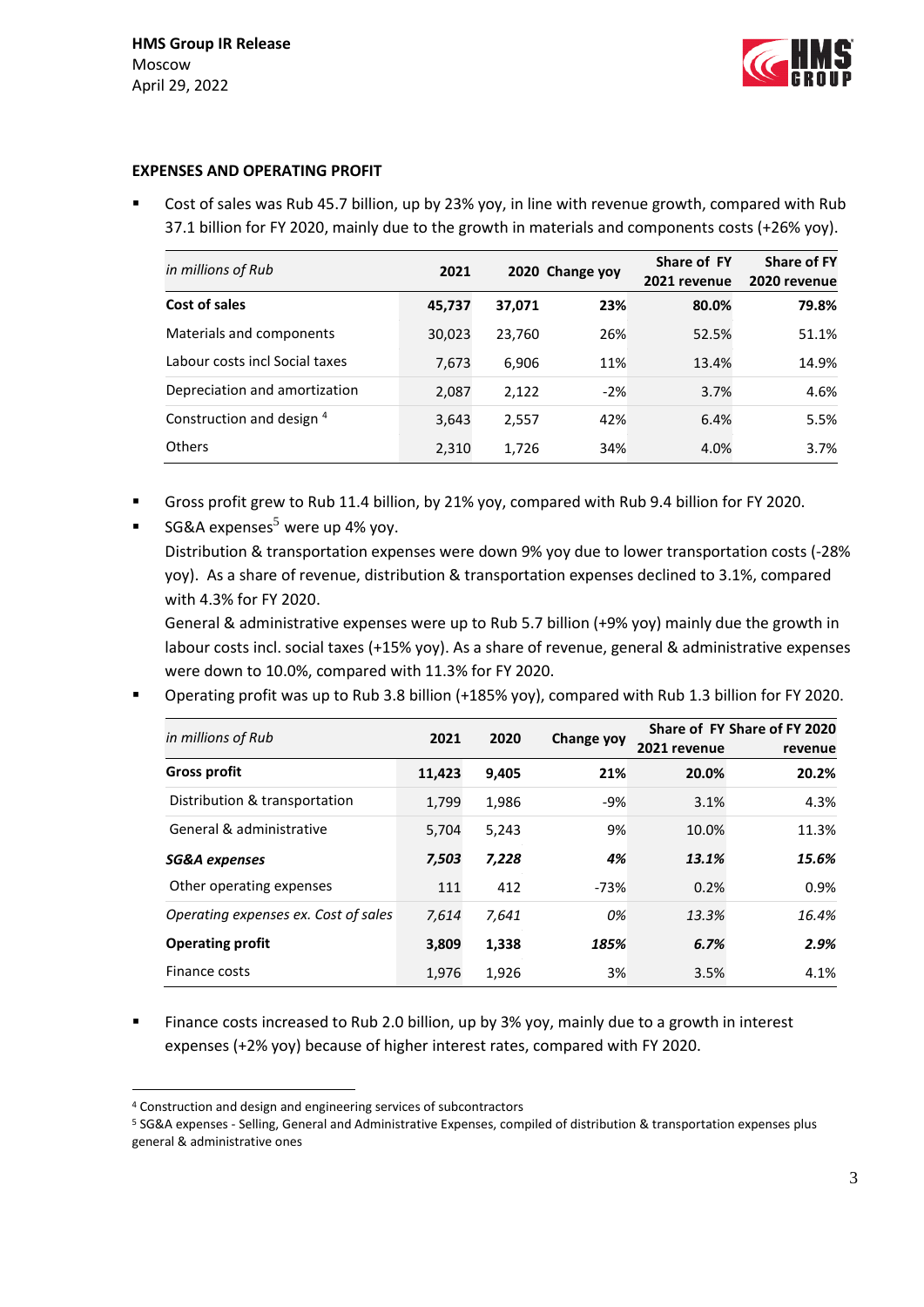

#### **EXPENSES AND OPERATING PROFIT**

 Cost of sales was Rub 45.7 billion, up by 23% yoy, in line with revenue growth, compared with Rub 37.1 billion for FY 2020, mainly due to the growth in materials and components costs (+26% yoy).

| in millions of Rub             | 2021   |        | 2020 Change yoy | Share of FY<br>2021 revenue | <b>Share of FY</b><br>2020 revenue |
|--------------------------------|--------|--------|-----------------|-----------------------------|------------------------------------|
| Cost of sales                  | 45,737 | 37,071 | 23%             | 80.0%                       | 79.8%                              |
| Materials and components       | 30,023 | 23,760 | 26%             | 52.5%                       | 51.1%                              |
| Labour costs incl Social taxes | 7,673  | 6,906  | 11%             | 13.4%                       | 14.9%                              |
| Depreciation and amortization  | 2,087  | 2,122  | $-2%$           | 3.7%                        | 4.6%                               |
| Construction and design 4      | 3,643  | 2,557  | 42%             | 6.4%                        | 5.5%                               |
| Others                         | 2,310  | 1.726  | 34%             | 4.0%                        | $3.7\%$                            |

- Gross profit grew to Rub 11.4 billion, by 21% yoy, compared with Rub 9.4 billion for FY 2020.
- SG&A expenses $<sup>5</sup>$  were up 4% yoy.</sup> Distribution & transportation expenses were down 9% yoy due to lower transportation costs (-28% yoy). As a share of revenue, distribution & transportation expenses declined to 3.1%, compared with 4.3% for FY 2020. General & administrative expenses were up to Rub 5.7 billion (+9% yoy) mainly due the growth in labour costs incl. social taxes (+15% yoy). As a share of revenue, general & administrative expenses

were down to 10.0%, compared with 11.3% for FY 2020.

Operating profit was up to Rub 3.8 billion (+185% yoy), compared with Rub 1.3 billion for FY 2020.

| in millions of Rub                   | 2021   | 2020  | Change yoy | 2021 revenue | Share of FY Share of FY 2020<br>revenue |
|--------------------------------------|--------|-------|------------|--------------|-----------------------------------------|
| <b>Gross profit</b>                  | 11,423 | 9,405 | 21%        | 20.0%        | 20.2%                                   |
| Distribution & transportation        | 1.799  | 1,986 | $-9%$      | 3.1%         | 4.3%                                    |
| General & administrative             | 5.704  | 5.243 | 9%         | 10.0%        | 11.3%                                   |
| SG&A expenses                        | 7.503  | 7.228 | 4%         | 13.1%        | 15.6%                                   |
| Other operating expenses             | 111    | 412   | $-73%$     | 0.2%         | 0.9%                                    |
| Operating expenses ex. Cost of sales | 7.614  | 7,641 | 0%         | 13.3%        | 16.4%                                   |
| <b>Operating profit</b>              | 3.809  | 1,338 | 185%       | 6.7%         | 2.9%                                    |
| Finance costs                        | 1.976  | 1,926 | 3%         | 3.5%         | 4.1%                                    |

 Finance costs increased to Rub 2.0 billion, up by 3% yoy, mainly due to a growth in interest expenses (+2% yoy) because of higher interest rates, compared with FY 2020.

1

<sup>4</sup> Construction and design and engineering services of subcontractors

<sup>5</sup> SG&A expenses - Selling, General and Administrative Expenses, compiled of distribution & transportation expenses plus general & administrative ones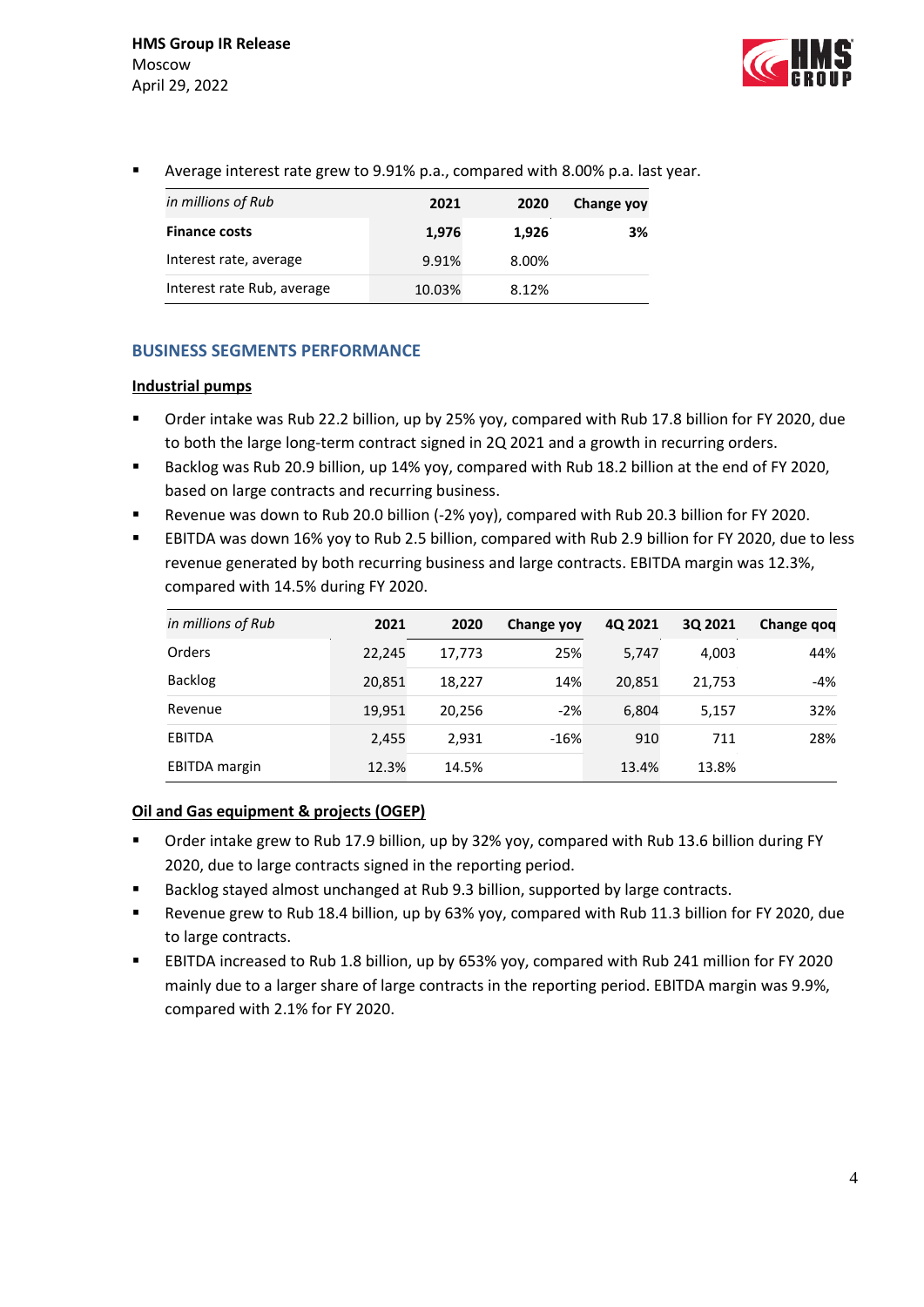

Average interest rate grew to 9.91% p.a., compared with 8.00% p.a. last year.

| in millions of Rub         | 2021   | 2020  | Change yoy |
|----------------------------|--------|-------|------------|
| <b>Finance costs</b>       | 1,976  | 1.926 | 3%         |
| Interest rate, average     | 9.91%  | 8.00% |            |
| Interest rate Rub, average | 10.03% | 8.12% |            |

# **BUSINESS SEGMENTS PERFORMANCE**

# **Industrial pumps**

- Order intake was Rub 22.2 billion, up by 25% yoy, compared with Rub 17.8 billion for FY 2020, due to both the large long-term contract signed in 2Q 2021 and a growth in recurring orders.
- Backlog was Rub 20.9 billion, up 14% yoy, compared with Rub 18.2 billion at the end of FY 2020, based on large contracts and recurring business.
- Revenue was down to Rub 20.0 billion (-2% yoy), compared with Rub 20.3 billion for FY 2020.
- EBITDA was down 16% yoy to Rub 2.5 billion, compared with Rub 2.9 billion for FY 2020, due to less revenue generated by both recurring business and large contracts. EBITDA margin was 12.3%, compared with 14.5% during FY 2020.

| in millions of Rub   | 2021   | 2020   | Change yoy | 4Q 2021 | 3Q 2021 | Change gog |
|----------------------|--------|--------|------------|---------|---------|------------|
| Orders               | 22,245 | 17.773 | 25%        | 5,747   | 4.003   | 44%        |
| <b>Backlog</b>       | 20,851 | 18,227 | 14%        | 20,851  | 21,753  | -4%        |
| Revenue              | 19,951 | 20,256 | $-2%$      | 6.804   | 5,157   | 32%        |
| <b>EBITDA</b>        | 2.455  | 2,931  | $-16%$     | 910     | 711     | 28%        |
| <b>EBITDA</b> margin | 12.3%  | 14.5%  |            | 13.4%   | 13.8%   |            |

## **Oil and Gas equipment & projects (OGEP)**

- Order intake grew to Rub 17.9 billion, up by 32% yoy, compared with Rub 13.6 billion during FY 2020, due to large contracts signed in the reporting period.
- Backlog stayed almost unchanged at Rub 9.3 billion, supported by large contracts.
- Revenue grew to Rub 18.4 billion, up by 63% yoy, compared with Rub 11.3 billion for FY 2020, due to large contracts.
- EBITDA increased to Rub 1.8 billion, up by 653% yoy, compared with Rub 241 million for FY 2020 mainly due to a larger share of large contracts in the reporting period. EBITDA margin was 9.9%, compared with 2.1% for FY 2020.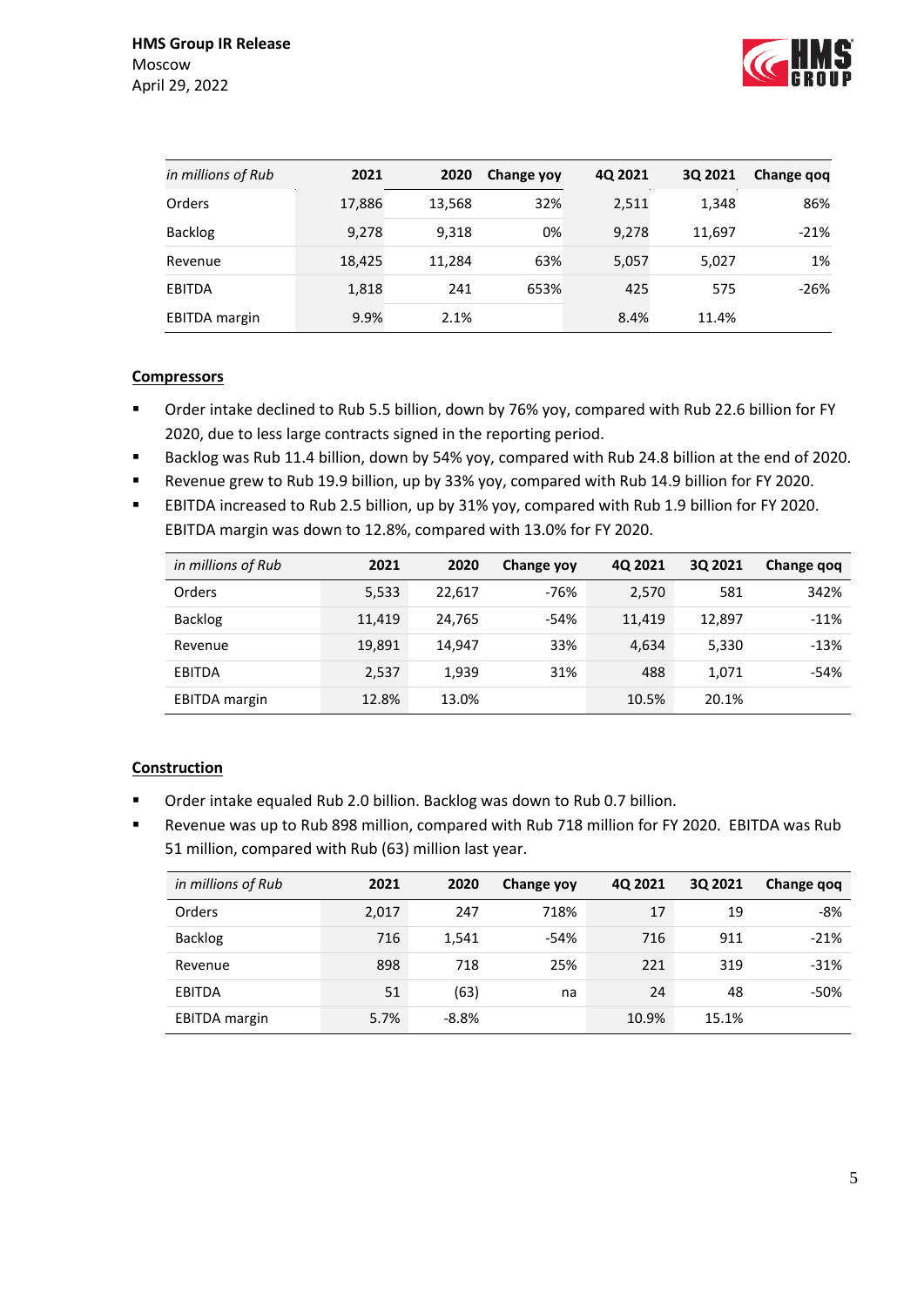

| in millions of Rub   | 2021   | 2020   | Change yoy | 40 2021 | 3Q 2021 | Change gog |
|----------------------|--------|--------|------------|---------|---------|------------|
| Orders               | 17,886 | 13,568 | 32%        | 2,511   | 1,348   | 86%        |
| <b>Backlog</b>       | 9,278  | 9.318  | 0%         | 9,278   | 11,697  | $-21%$     |
| Revenue              | 18,425 | 11.284 | 63%        | 5,057   | 5,027   | 1%         |
| <b>EBITDA</b>        | 1,818  | 241    | 653%       | 425     | 575     | $-26%$     |
| <b>EBITDA</b> margin | 9.9%   | 2.1%   |            | 8.4%    | 11.4%   |            |

# **Compressors**

- Order intake declined to Rub 5.5 billion, down by 76% yoy, compared with Rub 22.6 billion for FY 2020, due to less large contracts signed in the reporting period.
- Backlog was Rub 11.4 billion, down by 54% yoy, compared with Rub 24.8 billion at the end of 2020.
- Revenue grew to Rub 19.9 billion, up by 33% yoy, compared with Rub 14.9 billion for FY 2020.
- EBITDA increased to Rub 2.5 billion, up by 31% yoy, compared with Rub 1.9 billion for FY 2020. EBITDA margin was down to 12.8%, compared with 13.0% for FY 2020.

| in millions of Rub   | 2021   | 2020   | <b>Change yoy</b> | 4Q 2021 | 30 2021 | Change qoq |
|----------------------|--------|--------|-------------------|---------|---------|------------|
| Orders               | 5,533  | 22,617 | $-76%$            | 2,570   | 581     | 342%       |
| <b>Backlog</b>       | 11.419 | 24,765 | $-54%$            | 11.419  | 12,897  | $-11%$     |
| Revenue              | 19,891 | 14.947 | 33%               | 4.634   | 5,330   | $-13%$     |
| EBITDA               | 2,537  | 1,939  | 31%               | 488     | 1.071   | $-54%$     |
| <b>EBITDA</b> margin | 12.8%  | 13.0%  |                   | 10.5%   | 20.1%   |            |

# **Construction**

- Order intake equaled Rub 2.0 billion. Backlog was down to Rub 0.7 billion.
- Revenue was up to Rub 898 million, compared with Rub 718 million for FY 2020. EBITDA was Rub 51 million, compared with Rub (63) million last year.

| in millions of Rub   | 2021  | 2020    | Change yoy | 40 2021 | 30 2021 | Change qoq |
|----------------------|-------|---------|------------|---------|---------|------------|
| Orders               | 2,017 | 247     | 718%       | 17      | 19      | $-8%$      |
| <b>Backlog</b>       | 716   | 1,541   | $-54%$     | 716     | 911     | $-21%$     |
| Revenue              | 898   | 718     | 25%        | 221     | 319     | $-31%$     |
| <b>EBITDA</b>        | 51    | (63)    | na         | 24      | 48      | -50%       |
| <b>EBITDA</b> margin | 5.7%  | $-8.8%$ |            | 10.9%   | 15.1%   |            |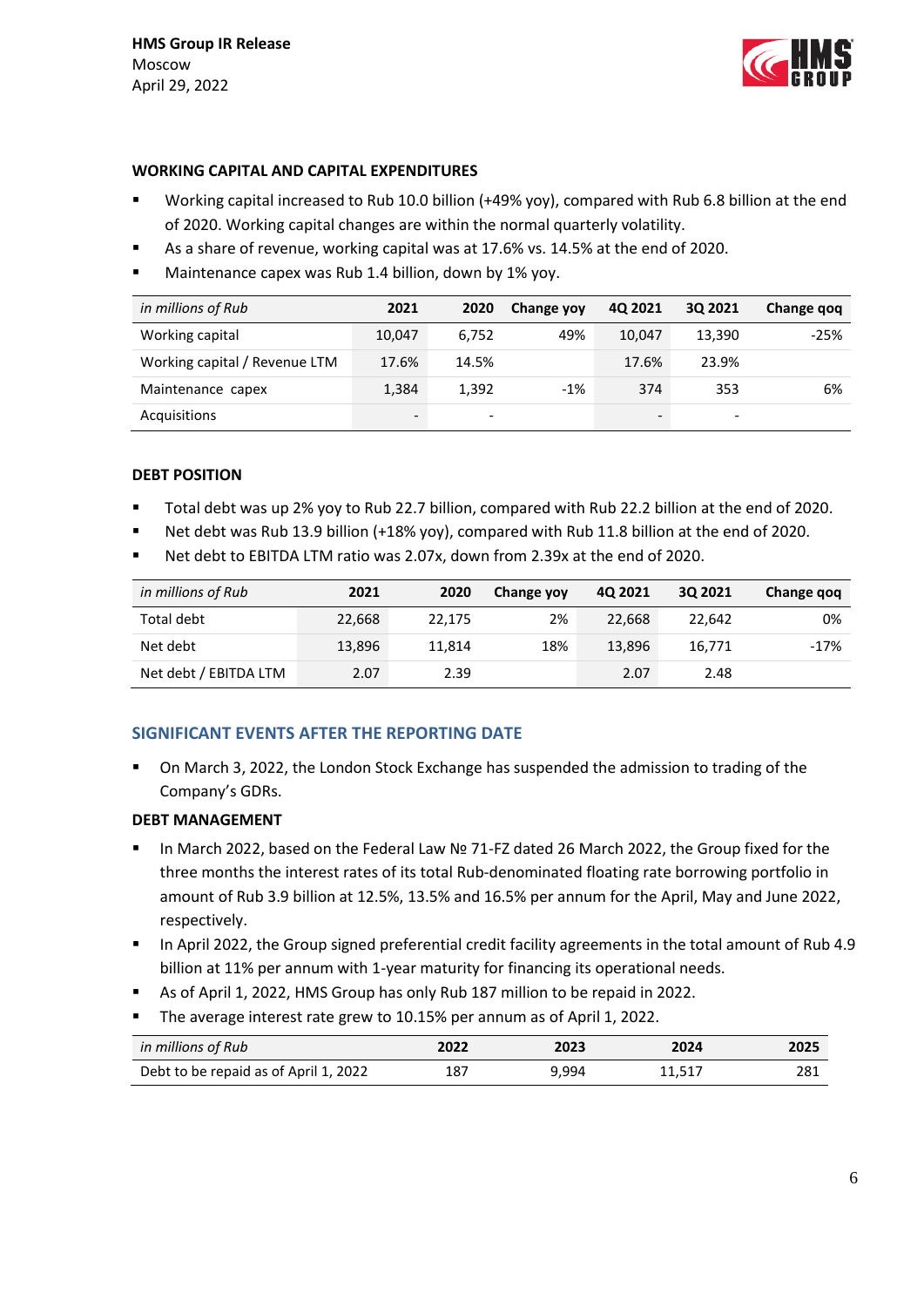

## **WORKING CAPITAL AND CAPITAL EXPENDITURES**

- Working capital increased to Rub 10.0 billion (+49% yoy), compared with Rub 6.8 billion at the end of 2020. Working capital changes are within the normal quarterly volatility.
- As a share of revenue, working capital was at 17.6% vs. 14.5% at the end of 2020.
- Maintenance capex was Rub 1.4 billion, down by 1% yoy.

| in millions of Rub            | 2021   | 2020                     | <b>Change yoy</b> | 40 2021 | 30 2021 | Change gog |
|-------------------------------|--------|--------------------------|-------------------|---------|---------|------------|
| Working capital               | 10.047 | 6.752                    | 49%               | 10.047  | 13.390  | $-25%$     |
| Working capital / Revenue LTM | 17.6%  | 14.5%                    |                   | 17.6%   | 23.9%   |            |
| Maintenance capex             | 1,384  | 1.392                    | $-1%$             | 374     | 353     | 6%         |
| Acquisitions                  | -      | $\overline{\phantom{a}}$ |                   | -       | -       |            |

## **DEBT POSITION**

- Total debt was up 2% yoy to Rub 22.7 billion, compared with Rub 22.2 billion at the end of 2020.
- Net debt was Rub 13.9 billion (+18% yoy), compared with Rub 11.8 billion at the end of 2020.
- Net debt to EBITDA LTM ratio was 2.07x, down from 2.39x at the end of 2020.

| in millions of Rub    | 2021   | 2020   | Change yoy | 40 2021 | 3Q 2021 | Change gog |
|-----------------------|--------|--------|------------|---------|---------|------------|
| Total debt            | 22.668 | 22.175 | 2%         | 22.668  | 22.642  | 0%         |
| Net debt              | 13,896 | 11.814 | 18%        | 13.896  | 16.771  | $-17%$     |
| Net debt / EBITDA LTM | 2.07   | 2.39   |            | 2.07    | 2.48    |            |

# **SIGNIFICANT EVENTS AFTER THE REPORTING DATE**

 On March 3, 2022, the London Stock Exchange has suspended the admission to trading of the Company's GDRs.

## **DEBT MANAGEMENT**

- In March 2022, based on the Federal Law Nº 71-FZ dated 26 March 2022, the Group fixed for the three months the interest rates of its total Rub-denominated floating rate borrowing portfolio in amount of Rub 3.9 billion at 12.5%, 13.5% and 16.5% per annum for the April, May and June 2022, respectively.
- In April 2022, the Group signed preferential credit facility agreements in the total amount of Rub 4.9 billion at 11% per annum with 1-year maturity for financing its operational needs.
- As of April 1, 2022, HMS Group has only Rub 187 million to be repaid in 2022.
- The average interest rate grew to 10.15% per annum as of April 1, 2022.

| in millions of Rub                    | 2022 | 2023  | 2024   | 2025 |
|---------------------------------------|------|-------|--------|------|
| Debt to be repaid as of April 1, 2022 | 187  | 9.994 | 11.517 | 281  |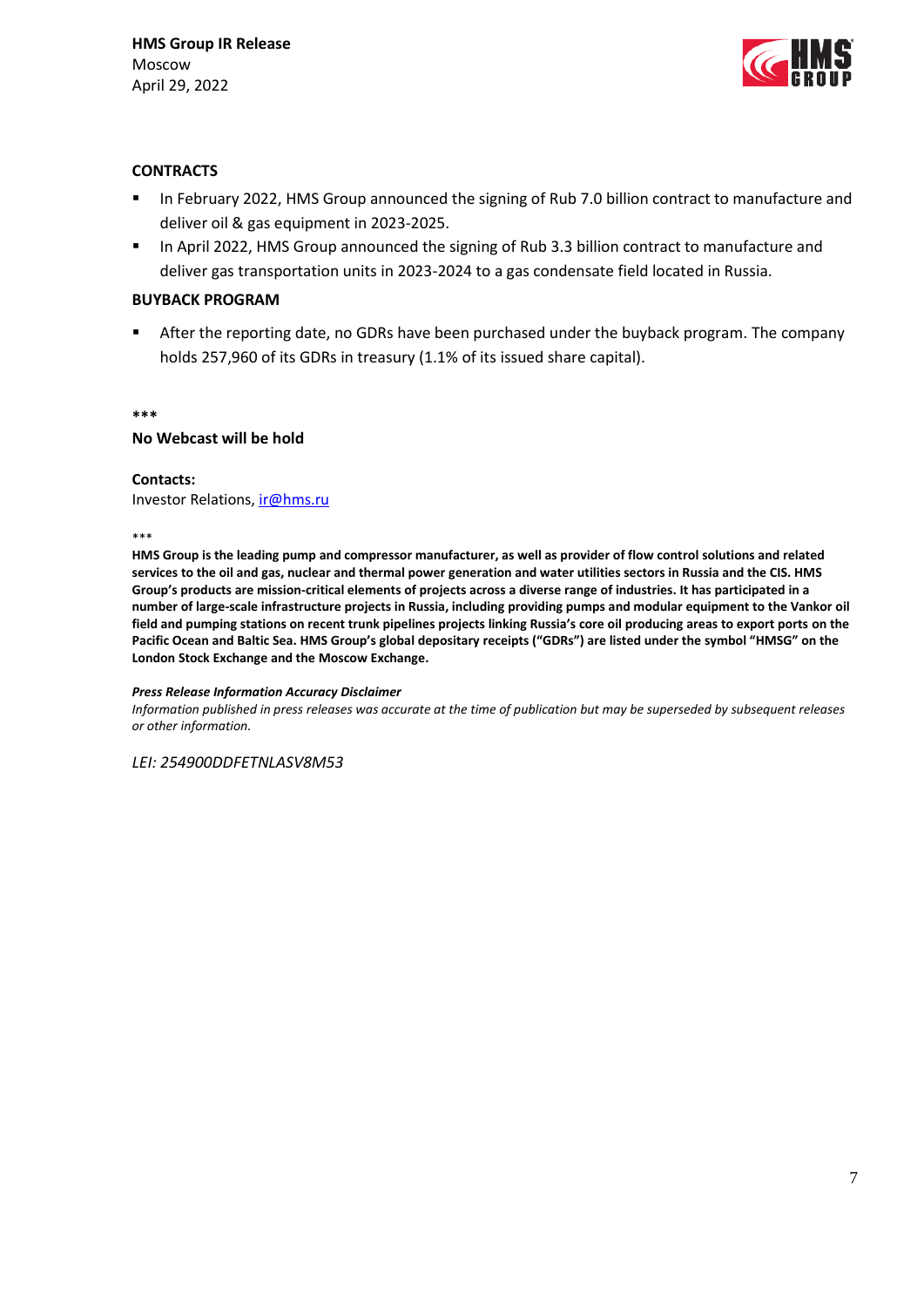

## **CONTRACTS**

- **In February 2022, HMS Group announced the signing of Rub 7.0 billion contract to manufacture and** deliver oil & gas equipment in 2023-2025.
- **In April 2022, HMS Group announced the signing of Rub 3.3 billion contract to manufacture and** deliver gas transportation units in 2023-2024 to a gas condensate field located in Russia.

#### **BUYBACK PROGRAM**

**F** After the reporting date, no GDRs have been purchased under the buyback program. The company holds 257,960 of its GDRs in treasury (1.1% of its issued share capital).

**\*\*\***

#### **No Webcast will be hold**

#### **Contacts:**

Investor Relations, *ir@hms.ru* 

\*\*\*

**HMS Group is the leading pump and compressor manufacturer, as well as provider of flow control solutions and related services to the oil and gas, nuclear and thermal power generation and water utilities sectors in Russia and the CIS. HMS Group's products are mission-critical elements of projects across a diverse range of industries. It has participated in a number of large-scale infrastructure projects in Russia, including providing pumps and modular equipment to the Vankor oil field and pumping stations on recent trunk pipelines projects linking Russia's core oil producing areas to export ports on the Pacific Ocean and Baltic Sea. HMS Group's global depositary receipts ("GDRs") are listed under the symbol "HMSG" on the London Stock Exchange and the Moscow Exchange.** 

#### *Press Release Information Accuracy Disclaimer*

*Information published in press releases was accurate at the time of publication but may be superseded by subsequent releases or other information.* 

*LEI: 254900DDFETNLASV8M53*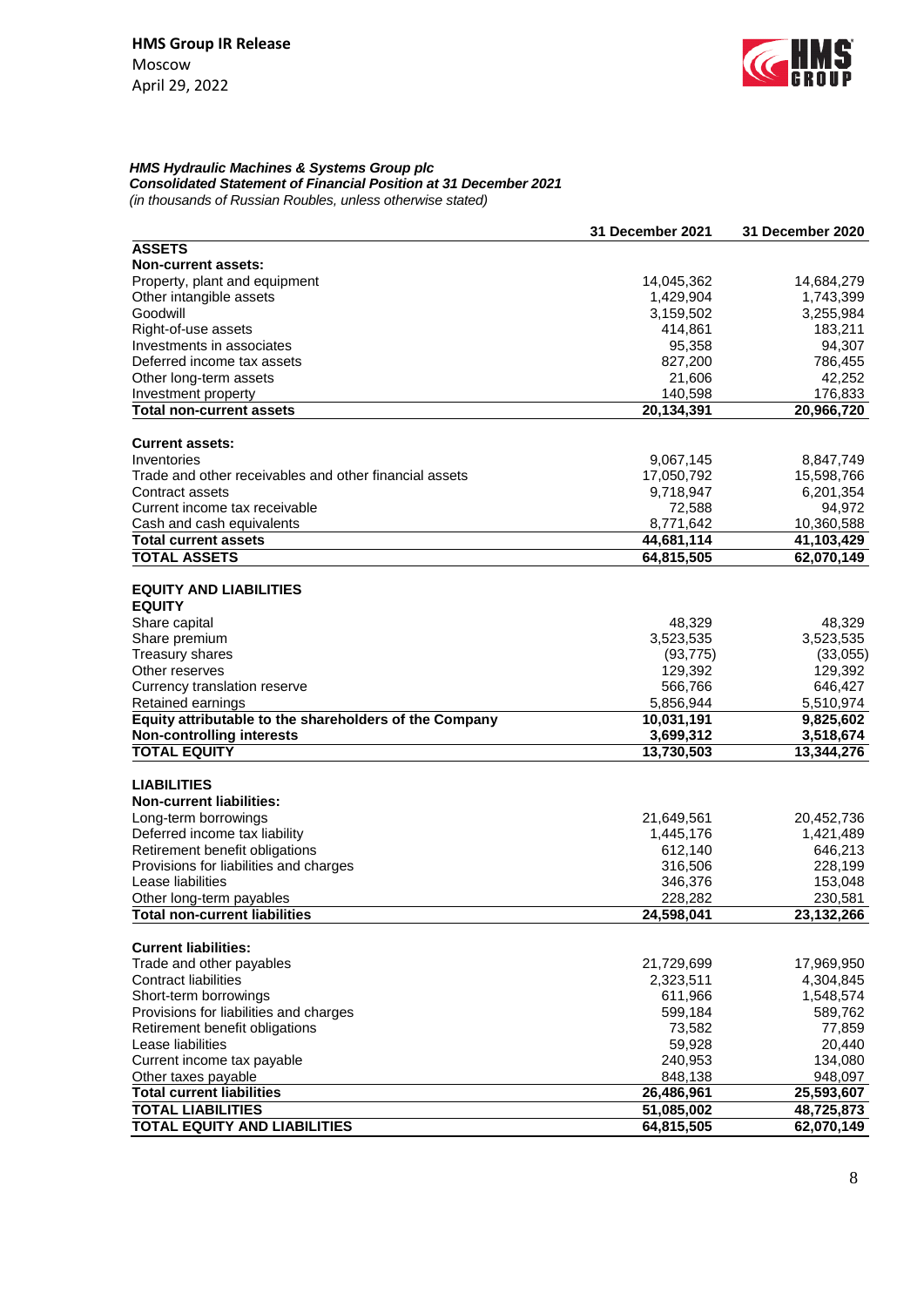

# *HMS Hydraulic Machines & Systems Group plc*

*Consolidated Statement of Financial Position at 31 December 2021*

*(in thousands of Russian Roubles, unless otherwise stated)*

|                                                        | 31 December 2021 | 31 December 2020 |
|--------------------------------------------------------|------------------|------------------|
| <b>ASSETS</b>                                          |                  |                  |
| <b>Non-current assets:</b>                             |                  |                  |
| Property, plant and equipment                          | 14,045,362       | 14,684,279       |
| Other intangible assets                                | 1,429,904        | 1,743,399        |
| Goodwill                                               | 3,159,502        | 3,255,984        |
| Right-of-use assets                                    | 414,861          | 183,211          |
| Investments in associates                              | 95,358           | 94,307           |
| Deferred income tax assets                             | 827,200          | 786,455          |
| Other long-term assets                                 | 21,606           | 42,252           |
| Investment property                                    | 140,598          | 176,833          |
| <b>Total non-current assets</b>                        | 20,134,391       | 20,966,720       |
|                                                        |                  |                  |
| <b>Current assets:</b>                                 |                  |                  |
| Inventories                                            | 9,067,145        | 8,847,749        |
| Trade and other receivables and other financial assets | 17,050,792       | 15,598,766       |
| Contract assets                                        | 9,718,947        | 6,201,354        |
| Current income tax receivable                          | 72,588           | 94,972           |
| Cash and cash equivalents                              | 8,771,642        | 10,360,588       |
| <b>Total current assets</b>                            | 44,681,114       | 41,103,429       |
| <b>TOTAL ASSETS</b>                                    | 64,815,505       | 62,070,149       |
|                                                        |                  |                  |
| <b>EQUITY AND LIABILITIES</b>                          |                  |                  |
| <b>EQUITY</b>                                          |                  |                  |
| Share capital                                          | 48,329           | 48,329           |
| Share premium                                          | 3,523,535        | 3,523,535        |
| Treasury shares                                        | (93, 775)        | (33,055)         |
| Other reserves                                         | 129,392          | 129,392          |
| Currency translation reserve                           | 566,766          | 646,427          |
| Retained earnings                                      | 5,856,944        | 5,510,974        |
| Equity attributable to the shareholders of the Company | 10,031,191       | 9,825,602        |
| <b>Non-controlling interests</b>                       | 3,699,312        | 3,518,674        |
| <b>TOTAL EQUITY</b>                                    | 13,730,503       | 13,344,276       |
|                                                        |                  |                  |
| <b>LIABILITIES</b>                                     |                  |                  |
| <b>Non-current liabilities:</b>                        |                  |                  |
| Long-term borrowings                                   | 21,649,561       | 20,452,736       |
| Deferred income tax liability                          | 1,445,176        | 1,421,489        |
| Retirement benefit obligations                         | 612,140          | 646,213          |
| Provisions for liabilities and charges                 | 316,506          | 228,199          |
| Lease liabilities                                      | 346,376          | 153,048          |
| Other long-term payables                               | 228,282          | 230,581          |
| <b>Total non-current liabilities</b>                   | 24,598,041       | 23,132,266       |
|                                                        |                  |                  |
| <b>Current liabilities:</b>                            |                  |                  |
| Trade and other payables                               | 21,729,699       | 17,969,950       |
| Contract liabilities                                   | 2,323,511        | 4,304,845        |
| Short-term borrowings                                  | 611,966          | 1,548,574        |
| Provisions for liabilities and charges                 | 599,184          | 589,762          |
| Retirement benefit obligations                         | 73,582           | 77,859           |
| Lease liabilities                                      | 59,928           | 20,440           |
| Current income tax payable                             | 240,953          | 134,080          |
| Other taxes payable                                    | 848,138          | 948,097          |
| <b>Total current liabilities</b>                       | 26,486,961       | 25,593,607       |
| <b>TOTAL LIABILITIES</b>                               | 51,085,002       | 48,725,873       |
| <b>TOTAL EQUITY AND LIABILITIES</b>                    | 64,815,505       | 62,070,149       |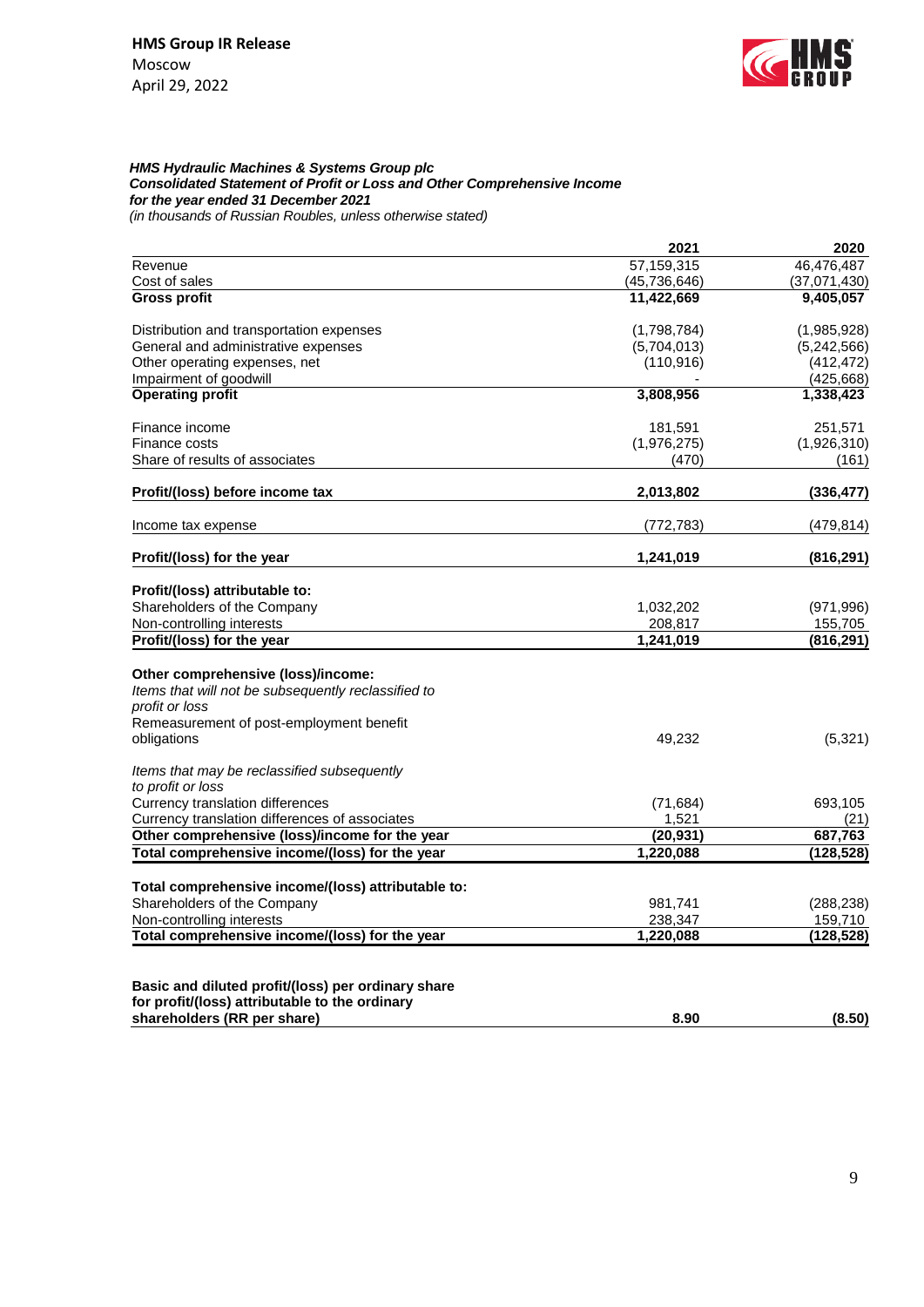

#### *HMS Hydraulic Machines & Systems Group plc Consolidated Statement of Profit or Loss and Other Comprehensive Income for the year ended 31 December 2021 (in thousands of Russian Roubles, unless otherwise stated)*

**2021 2020** Revenue 57,159,315 46,476,487 Cost of sales (45,736,646) (37,071,430)<br>
Gross profit (37,071,430) (37,071,430) (37,071,430) **Gross profit 11,422,669 9,405,057** Distribution and transportation expenses (1,798,784) (1,985,928) General and administrative expenses  $(5,704,013)$   $(5,242,566)$ Other operating expenses, net (110,916) (412,472) Impairment of goodwill and the contract of goodwill and the contract of the contract of the contract of the contract of the contract of the contract of the contract of the contract of the contract of the contract of the co **Operating profit 3,808,956 1,338,423** Finance income 251,571 251,571 Finance costs (1,976,275) (1,926,310) Share of results of associates (161) (161) (161) **Profit/(loss) before income tax 2,013,802 (336,477)** Income tax expense (772,783) (479,814) **Profit/(loss) for the year 1,241,019 (816,291) Profit/(loss) attributable to:** Shareholders of the Company **1,032,202** (971,996) Non-controlling interests 208,817 155,705 **Profit/(loss) for the year 1,241,019 (816,291) Other comprehensive (loss)/income:** *Items that will not be subsequently reclassified to profit or loss* Remeasurement of post-employment benefit obligations 49,232 (5,321) *Items that may be reclassified subsequently to profit or loss* Currency translation differences (71,684) 693,105 Currency translation differences of associates 1,521 (21) **Other comprehensive (loss)/income for the year (20,931) 687,763 Total comprehensive income/(loss) for the year 1,220,088 (128,528) Total comprehensive income/(loss) attributable to:** Shareholders of the Company example of the Company of the Company of the Company of the Company of the Company of the Company of the Company of the Company of the Company of the Company of the Company of the Company of the Non-controlling interests 238,347 159,710 **Total comprehensive income/(loss) for the year 1,220,088 (128,528) Basic and diluted profit/(loss) per ordinary share for profit/(loss) attributable to the ordinary shareholders (RR per share) 8.90 (8.50)**